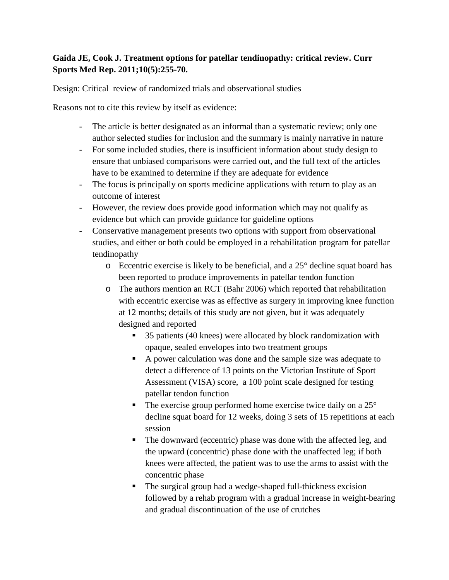## **Gaida JE, Cook J. Treatment options for patellar tendinopathy: critical review. Curr Sports Med Rep. 2011;10(5):255-70.**

Design: Critical review of randomized trials and observational studies

Reasons not to cite this review by itself as evidence:

- The article is better designated as an informal than a systematic review; only one author selected studies for inclusion and the summary is mainly narrative in nature
- For some included studies, there is insufficient information about study design to ensure that unbiased comparisons were carried out, and the full text of the articles have to be examined to determine if they are adequate for evidence
- The focus is principally on sports medicine applications with return to play as an outcome of interest
- However, the review does provide good information which may not qualify as evidence but which can provide guidance for guideline options
- Conservative management presents two options with support from observational studies, and either or both could be employed in a rehabilitation program for patellar tendinopathy
	- o Eccentric exercise is likely to be beneficial, and a 25° decline squat board has been reported to produce improvements in patellar tendon function
	- o The authors mention an RCT (Bahr 2006) which reported that rehabilitation with eccentric exercise was as effective as surgery in improving knee function at 12 months; details of this study are not given, but it was adequately designed and reported
		- 35 patients (40 knees) were allocated by block randomization with opaque, sealed envelopes into two treatment groups
		- A power calculation was done and the sample size was adequate to detect a difference of 13 points on the Victorian Institute of Sport Assessment (VISA) score, a 100 point scale designed for testing patellar tendon function
		- $\blacksquare$  The exercise group performed home exercise twice daily on a 25 $\degree$ decline squat board for 12 weeks, doing 3 sets of 15 repetitions at each session
		- The downward (eccentric) phase was done with the affected leg, and the upward (concentric) phase done with the unaffected leg; if both knees were affected, the patient was to use the arms to assist with the concentric phase
		- The surgical group had a wedge-shaped full-thickness excision followed by a rehab program with a gradual increase in weight-bearing and gradual discontinuation of the use of crutches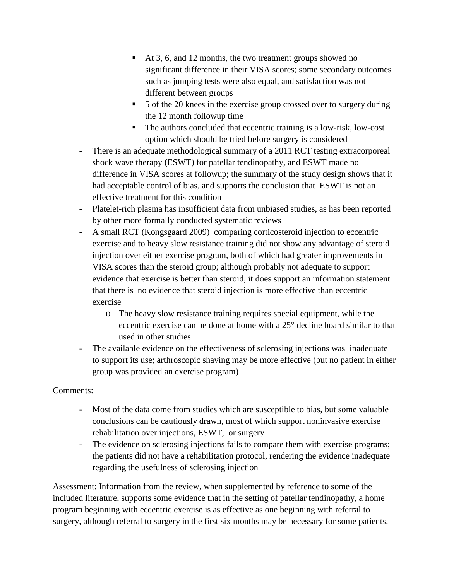- At 3, 6, and 12 months, the two treatment groups showed no significant difference in their VISA scores; some secondary outcomes such as jumping tests were also equal, and satisfaction was not different between groups
- 5 of the 20 knees in the exercise group crossed over to surgery during the 12 month followup time
- The authors concluded that eccentric training is a low-risk, low-cost option which should be tried before surgery is considered
- There is an adequate methodological summary of a 2011 RCT testing extracorporeal shock wave therapy (ESWT) for patellar tendinopathy, and ESWT made no difference in VISA scores at followup; the summary of the study design shows that it had acceptable control of bias, and supports the conclusion that ESWT is not an effective treatment for this condition
- Platelet-rich plasma has insufficient data from unbiased studies, as has been reported by other more formally conducted systematic reviews
- A small RCT (Kongsgaard 2009) comparing corticosteroid injection to eccentric exercise and to heavy slow resistance training did not show any advantage of steroid injection over either exercise program, both of which had greater improvements in VISA scores than the steroid group; although probably not adequate to support evidence that exercise is better than steroid, it does support an information statement that there is no evidence that steroid injection is more effective than eccentric exercise
	- o The heavy slow resistance training requires special equipment, while the eccentric exercise can be done at home with a 25° decline board similar to that used in other studies
- The available evidence on the effectiveness of sclerosing injections was inadequate to support its use; arthroscopic shaving may be more effective (but no patient in either group was provided an exercise program)

## Comments:

- Most of the data come from studies which are susceptible to bias, but some valuable conclusions can be cautiously drawn, most of which support noninvasive exercise rehabilitation over injections, ESWT, or surgery
- The evidence on sclerosing injections fails to compare them with exercise programs; the patients did not have a rehabilitation protocol, rendering the evidence inadequate regarding the usefulness of sclerosing injection

Assessment: Information from the review, when supplemented by reference to some of the included literature, supports some evidence that in the setting of patellar tendinopathy, a home program beginning with eccentric exercise is as effective as one beginning with referral to surgery, although referral to surgery in the first six months may be necessary for some patients.